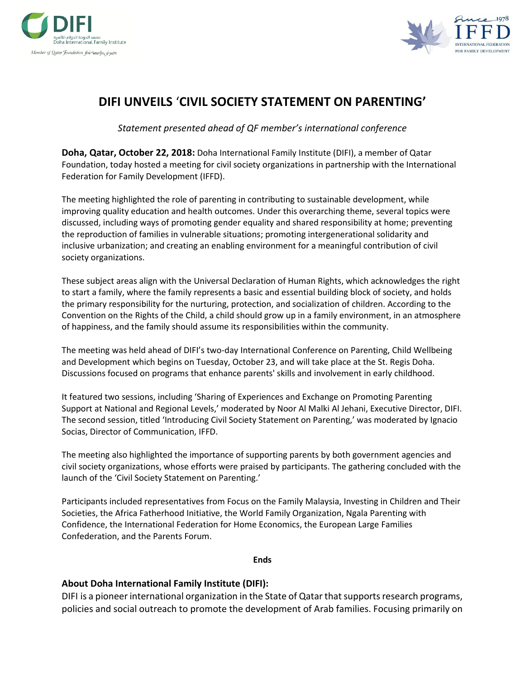



## **DIFI UNVEILS** '**CIVIL SOCIETY STATEMENT ON PARENTING'**

*Statement presented ahead of QF member's international conference*

**Doha, Qatar, October 22, 2018:** Doha International Family Institute (DIFI), a member of Qatar Foundation, today hosted a meeting for civil society organizations in partnership with the International Federation for Family Development (IFFD).

The meeting highlighted the role of parenting in contributing to sustainable development, while improving quality education and health outcomes. Under this overarching theme, several topics were discussed, including ways of promoting gender equality and shared responsibility at home; preventing the reproduction of families in vulnerable situations; promoting intergenerational solidarity and inclusive urbanization; and creating an enabling environment for a meaningful contribution of civil society organizations.

These subject areas align with the Universal Declaration of Human Rights, which acknowledges the right to start a family, where the family represents a basic and essential building block of society, and holds the primary responsibility for the nurturing, protection, and socialization of children. According to the Convention on the Rights of the Child, a child should grow up in a family environment, in an atmosphere of happiness, and the family should assume its responsibilities within the community.

The meeting was held ahead of DIFI's two-day International Conference on Parenting, Child Wellbeing and Development which begins on Tuesday, October 23, and will take place at the St. Regis Doha. Discussions focused on programs that enhance parents' skills and involvement in early childhood.

It featured two sessions, including 'Sharing of Experiences and Exchange on Promoting Parenting Support at National and Regional Levels,' moderated by Noor Al Malki Al Jehani, Executive Director, DIFI. The second session, titled 'Introducing Civil Society Statement on Parenting,' was moderated by Ignacio Socias, Director of Communication, IFFD.

The meeting also highlighted the importance of supporting parents by both government agencies and civil society organizations, whose efforts were praised by participants. The gathering concluded with the launch of the 'Civil Society Statement on Parenting.'

Participants included representatives from Focus on the Family Malaysia, Investing in Children and Their Societies, the Africa Fatherhood Initiative, the World Family Organization, Ngala Parenting with Confidence, the International Federation for Home Economics, the European Large Families Confederation, and the Parents Forum.

**Ends**

## **About Doha International Family Institute (DIFI):**

DIFI is a pioneer international organization in the State of Qatar that supports research programs, policies and social outreach to promote the development of Arab families. Focusing primarily on